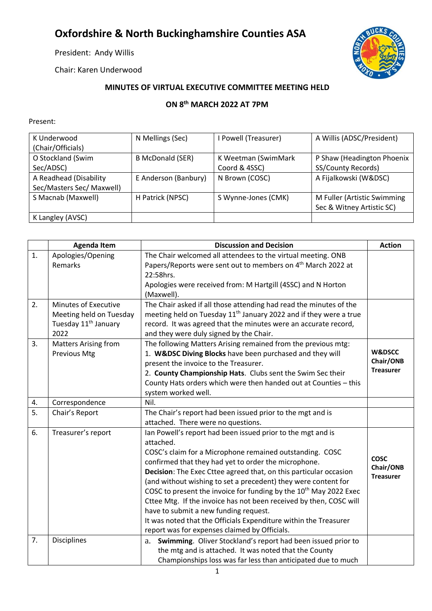## **Oxfordshire & North Buckinghamshire Counties ASA**

President: Andy Willis

Chair: Karen Underwood



## **MINUTES OF VIRTUAL EXECUTIVE COMMITTEE MEETING HELD**

## **ON 8 th MARCH 2022 AT 7PM**

## Present:

| K Underwood               | N Mellings (Sec)        | I Powell (Treasurer) | A Willis (ADSC/President)   |
|---------------------------|-------------------------|----------------------|-----------------------------|
| (Chair/Officials)         |                         |                      |                             |
| O Stockland (Swim         | <b>B McDonald (SER)</b> | K Weetman (SwimMark  | P Shaw (Headington Phoenix  |
| Sec/ADSC)                 |                         | Coord & 4SSC)        | SS/County Records)          |
| A Readhead (Disability    | E Anderson (Banbury)    | N Brown (COSC)       | A Fijalkowski (W&DSC)       |
| Sec/Masters Sec/ Maxwell) |                         |                      |                             |
| S Macnab (Maxwell)        | H Patrick (NPSC)        | S Wynne-Jones (CMK)  | M Fuller (Artistic Swimming |
|                           |                         |                      | Sec & Witney Artistic SC)   |
| K Langley (AVSC)          |                         |                      |                             |

|                | <b>Agenda Item</b>               | <b>Discussion and Decision</b>                                                | <b>Action</b>     |
|----------------|----------------------------------|-------------------------------------------------------------------------------|-------------------|
| $\mathbf{1}$ . | Apologies/Opening                | The Chair welcomed all attendees to the virtual meeting. ONB                  |                   |
|                | Remarks                          | Papers/Reports were sent out to members on 4 <sup>th</sup> March 2022 at      |                   |
|                |                                  | 22:58hrs.                                                                     |                   |
|                |                                  | Apologies were received from: M Hartgill (4SSC) and N Horton                  |                   |
|                |                                  | (Maxwell).                                                                    |                   |
| 2.             | Minutes of Executive             | The Chair asked if all those attending had read the minutes of the            |                   |
|                | Meeting held on Tuesday          | meeting held on Tuesday 11 <sup>th</sup> January 2022 and if they were a true |                   |
|                | Tuesday 11 <sup>th</sup> January | record. It was agreed that the minutes were an accurate record,               |                   |
|                | 2022                             | and they were duly signed by the Chair.                                       |                   |
| 3.             | <b>Matters Arising from</b>      | The following Matters Arising remained from the previous mtg:                 |                   |
|                | Previous Mtg                     | 1. W&DSC Diving Blocks have been purchased and they will                      | <b>W&amp;DSCC</b> |
|                |                                  | present the invoice to the Treasurer.                                         | Chair/ONB         |
|                |                                  | 2. County Championship Hats. Clubs sent the Swim Sec their                    | <b>Treasurer</b>  |
|                |                                  | County Hats orders which were then handed out at Counties - this              |                   |
|                |                                  | system worked well.                                                           |                   |
| 4.             | Correspondence                   | Nil.                                                                          |                   |
| 5.             | Chair's Report                   | The Chair's report had been issued prior to the mgt and is                    |                   |
|                |                                  | attached. There were no questions.                                            |                   |
| 6.             | Treasurer's report               | Ian Powell's report had been issued prior to the mgt and is                   |                   |
|                |                                  | attached.                                                                     |                   |
|                |                                  | COSC's claim for a Microphone remained outstanding. COSC                      | <b>COSC</b>       |
|                |                                  | confirmed that they had yet to order the microphone.                          | Chair/ONB         |
|                |                                  | Decision: The Exec Cttee agreed that, on this particular occasion             | <b>Treasurer</b>  |
|                |                                  | (and without wishing to set a precedent) they were content for                |                   |
|                |                                  | COSC to present the invoice for funding by the 10 <sup>th</sup> May 2022 Exec |                   |
|                |                                  | Cttee Mtg. If the invoice has not been received by then, COSC will            |                   |
|                |                                  | have to submit a new funding request.                                         |                   |
|                |                                  | It was noted that the Officials Expenditure within the Treasurer              |                   |
|                |                                  | report was for expenses claimed by Officials.                                 |                   |
| 7.             | <b>Disciplines</b>               | Swimming. Oliver Stockland's report had been issued prior to<br>a.            |                   |
|                |                                  | the mtg and is attached. It was noted that the County                         |                   |
|                |                                  | Championships loss was far less than anticipated due to much                  |                   |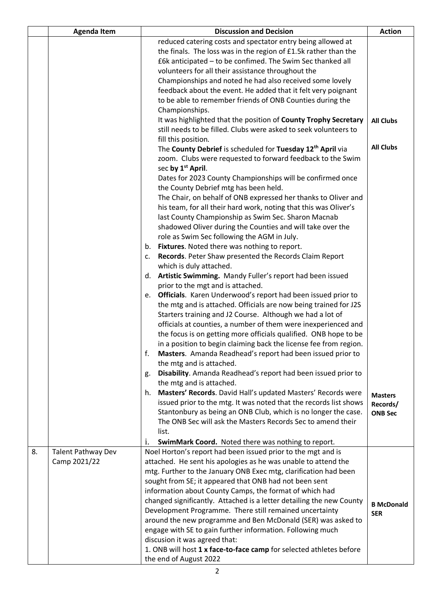|    | <b>Agenda Item</b>                                          | <b>Discussion and Decision</b>                                                                                    |                   |
|----|-------------------------------------------------------------|-------------------------------------------------------------------------------------------------------------------|-------------------|
|    | reduced catering costs and spectator entry being allowed at |                                                                                                                   |                   |
|    |                                                             | the finals. The loss was in the region of £1.5k rather than the                                                   |                   |
|    |                                                             | £6k anticipated - to be confimed. The Swim Sec thanked all                                                        |                   |
|    |                                                             | volunteers for all their assistance throughout the                                                                |                   |
|    |                                                             | Championships and noted he had also received some lovely                                                          |                   |
|    |                                                             | feedback about the event. He added that it felt very poignant                                                     |                   |
|    |                                                             | to be able to remember friends of ONB Counties during the                                                         |                   |
|    |                                                             | Championships.                                                                                                    |                   |
|    |                                                             | It was highlighted that the position of County Trophy Secretary                                                   | <b>All Clubs</b>  |
|    |                                                             | still needs to be filled. Clubs were asked to seek volunteers to                                                  |                   |
|    |                                                             | fill this position.                                                                                               |                   |
|    |                                                             | The County Debrief is scheduled for Tuesday 12 <sup>th</sup> April via                                            | <b>All Clubs</b>  |
|    |                                                             | zoom. Clubs were requested to forward feedback to the Swim                                                        |                   |
|    |                                                             | sec by 1 <sup>st</sup> April.                                                                                     |                   |
|    |                                                             | Dates for 2023 County Championships will be confirmed once                                                        |                   |
|    |                                                             | the County Debrief mtg has been held.                                                                             |                   |
|    |                                                             | The Chair, on behalf of ONB expressed her thanks to Oliver and                                                    |                   |
|    |                                                             | his team, for all their hard work, noting that this was Oliver's                                                  |                   |
|    |                                                             | last County Championship as Swim Sec. Sharon Macnab                                                               |                   |
|    |                                                             | shadowed Oliver during the Counties and will take over the                                                        |                   |
|    |                                                             | role as Swim Sec following the AGM in July.                                                                       |                   |
|    |                                                             | b. Fixtures. Noted there was nothing to report.<br>Records. Peter Shaw presented the Records Claim Report<br>c.   |                   |
|    |                                                             | which is duly attached.                                                                                           |                   |
|    |                                                             | d. Artistic Swimming. Mandy Fuller's report had been issued                                                       |                   |
|    |                                                             | prior to the mgt and is attached.                                                                                 |                   |
|    |                                                             | Officials. Karen Underwood's report had been issued prior to<br>e.                                                |                   |
|    |                                                             | the mtg and is attached. Officials are now being trained for J2S                                                  |                   |
|    |                                                             | Starters training and J2 Course. Although we had a lot of                                                         |                   |
|    |                                                             | officials at counties, a number of them were inexperienced and                                                    |                   |
|    |                                                             | the focus is on getting more officials qualified. ONB hope to be                                                  |                   |
|    |                                                             | in a position to begin claiming back the license fee from region.                                                 |                   |
|    |                                                             | Masters. Amanda Readhead's report had been issued prior to<br>f.                                                  |                   |
|    |                                                             | the mtg and is attached.                                                                                          |                   |
|    |                                                             | Disability. Amanda Readhead's report had been issued prior to<br>g.                                               |                   |
|    |                                                             | the mtg and is attached.                                                                                          |                   |
|    |                                                             | h. Masters' Records. David Hall's updated Masters' Records were                                                   | <b>Masters</b>    |
|    |                                                             | issued prior to the mtg. It was noted that the records list shows                                                 | Records/          |
|    |                                                             | Stantonbury as being an ONB Club, which is no longer the case.                                                    | <b>ONB Sec</b>    |
|    |                                                             | The ONB Sec will ask the Masters Records Sec to amend their                                                       |                   |
|    |                                                             | list.                                                                                                             |                   |
|    |                                                             | SwimMark Coord. Noted there was nothing to report.<br>1.                                                          |                   |
| 8. | <b>Talent Pathway Dev</b>                                   | Noel Horton's report had been issued prior to the mgt and is                                                      |                   |
|    | Camp 2021/22                                                | attached. He sent his apologies as he was unable to attend the                                                    |                   |
|    |                                                             | mtg. Further to the January ONB Exec mtg, clarification had been                                                  |                   |
|    |                                                             | sought from SE; it appeared that ONB had not been sent<br>information about County Camps, the format of which had |                   |
|    |                                                             | changed significantly. Attached is a letter detailing the new County                                              |                   |
|    |                                                             | Development Programme. There still remained uncertainty                                                           | <b>B</b> McDonald |
|    |                                                             | around the new programme and Ben McDonald (SER) was asked to                                                      | <b>SER</b>        |
|    |                                                             | engage with SE to gain further information. Following much                                                        |                   |
|    |                                                             | discusion it was agreed that:                                                                                     |                   |
|    |                                                             | 1. ONB will host 1 x face-to-face camp for selected athletes before                                               |                   |
|    |                                                             | the end of August 2022                                                                                            |                   |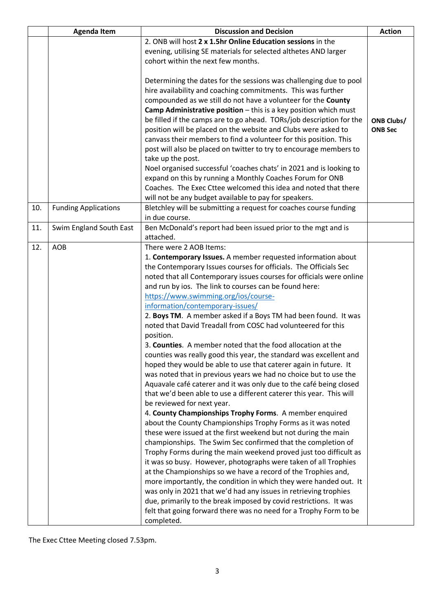|     | <b>Agenda Item</b>                                               | <b>Discussion and Decision</b>                                       |                   |
|-----|------------------------------------------------------------------|----------------------------------------------------------------------|-------------------|
|     | 2. ONB will host 2 x 1.5hr Online Education sessions in the      |                                                                      |                   |
|     | evening, utilising SE materials for selected althetes AND larger |                                                                      |                   |
|     | cohort within the next few months.                               |                                                                      |                   |
|     |                                                                  |                                                                      |                   |
|     |                                                                  | Determining the dates for the sessions was challenging due to pool   |                   |
|     |                                                                  | hire availability and coaching commitments. This was further         |                   |
|     |                                                                  | compounded as we still do not have a volunteer for the County        |                   |
|     |                                                                  | Camp Administrative position - this is a key position which must     |                   |
|     |                                                                  | be filled if the camps are to go ahead. TORs/job description for the | <b>ONB Clubs/</b> |
|     |                                                                  | position will be placed on the website and Clubs were asked to       | <b>ONB Sec</b>    |
|     |                                                                  | canvass their members to find a volunteer for this position. This    |                   |
|     |                                                                  |                                                                      |                   |
|     |                                                                  | post will also be placed on twitter to try to encourage members to   |                   |
|     |                                                                  | take up the post.                                                    |                   |
|     |                                                                  | Noel organised successful 'coaches chats' in 2021 and is looking to  |                   |
|     |                                                                  | expand on this by running a Monthly Coaches Forum for ONB            |                   |
|     |                                                                  | Coaches. The Exec Cttee welcomed this idea and noted that there      |                   |
|     |                                                                  | will not be any budget available to pay for speakers.                |                   |
| 10. | <b>Funding Applications</b>                                      | Bletchley will be submitting a request for coaches course funding    |                   |
|     |                                                                  | in due course.                                                       |                   |
| 11. | Swim England South East                                          | Ben McDonald's report had been issued prior to the mgt and is        |                   |
|     |                                                                  | attached.                                                            |                   |
| 12. | <b>AOB</b>                                                       | There were 2 AOB Items:                                              |                   |
|     |                                                                  | 1. Contemporary Issues. A member requested information about         |                   |
|     |                                                                  | the Contemporary Issues courses for officials. The Officials Sec     |                   |
|     |                                                                  | noted that all Contemporary issues courses for officials were online |                   |
|     |                                                                  | and run by ios. The link to courses can be found here:               |                   |
|     |                                                                  | https://www.swimming.org/ios/course-                                 |                   |
|     |                                                                  | information/contemporary-issues/                                     |                   |
|     |                                                                  | 2. Boys TM. A member asked if a Boys TM had been found. It was       |                   |
|     |                                                                  | noted that David Treadall from COSC had volunteered for this         |                   |
|     |                                                                  | position.                                                            |                   |
|     |                                                                  | 3. Counties. A member noted that the food allocation at the          |                   |
|     |                                                                  | counties was really good this year, the standard was excellent and   |                   |
|     |                                                                  | hoped they would be able to use that caterer again in future. It     |                   |
|     |                                                                  |                                                                      |                   |
|     |                                                                  | was noted that in previous years we had no choice but to use the     |                   |
|     |                                                                  | Aquavale café caterer and it was only due to the café being closed   |                   |
|     |                                                                  | that we'd been able to use a different caterer this year. This will  |                   |
|     |                                                                  | be reviewed for next year.                                           |                   |
|     |                                                                  | 4. County Championships Trophy Forms. A member enquired              |                   |
|     |                                                                  | about the County Championships Trophy Forms as it was noted          |                   |
|     |                                                                  | these were issued at the first weekend but not during the main       |                   |
|     |                                                                  | championships. The Swim Sec confirmed that the completion of         |                   |
|     |                                                                  | Trophy Forms during the main weekend proved just too difficult as    |                   |
|     |                                                                  | it was so busy. However, photographs were taken of all Trophies      |                   |
|     |                                                                  | at the Championships so we have a record of the Trophies and,        |                   |
|     |                                                                  | more importantly, the condition in which they were handed out. It    |                   |
|     |                                                                  | was only in 2021 that we'd had any issues in retrieving trophies     |                   |
|     |                                                                  | due, primarily to the break imposed by covid restrictions. It was    |                   |
|     |                                                                  | felt that going forward there was no need for a Trophy Form to be    |                   |
|     |                                                                  | completed.                                                           |                   |

The Exec Cttee Meeting closed 7.53pm.